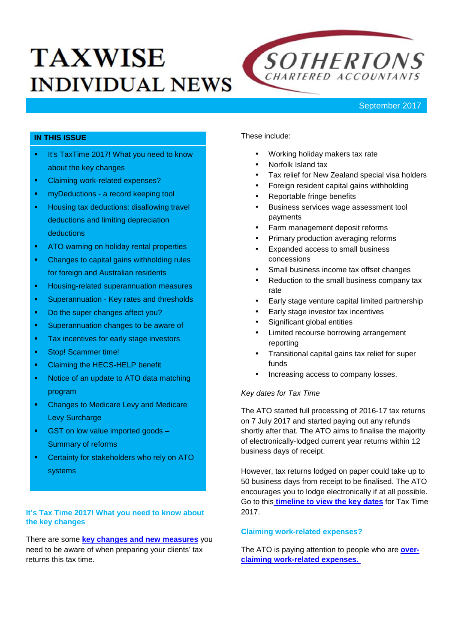# **TAXWISE INDIVIDUAL NEWS**



## **IN THIS ISSUE**

- **It's TaxTime 2017! What you need to know** about the key changes
- Claiming work-related expenses?
- **myDeductions a record keeping tool**
- Housing tax deductions: disallowing travel deductions and limiting depreciation deductions
- **ATO** warning on holiday rental properties
- Changes to capital gains withholding rules for foreign and Australian residents
- **Housing-related superannuation measures**
- **Superannuation Key rates and thresholds**
- Do the super changes affect you?
- **Superannuation changes to be aware of**
- **Tax incentives for early stage investors**
- **Stop! Scammer time!**
- Claiming the HECS-HELP benefit
- Notice of an update to ATO data matching program
- Changes to Medicare Levy and Medicare Levy Surcharge
- GST on low value imported goods Summary of reforms
- Certainty for stakeholders who rely on ATO systems

#### **It's Tax Time 2017! What you need to know about the key changes**

There are some **key changes and new measures** you need to be aware of when preparing your clients' tax returns this tax time.

These include:

- Working holiday makers tax rate
- Norfolk Island tax
- Tax relief for New Zealand special visa holders
- Foreign resident capital gains withholding
- Reportable fringe benefits
- Business services wage assessment tool payments
- Farm management deposit reforms
- Primary production averaging reforms
- Expanded access to small business concessions
- Small business income tax offset changes
- Reduction to the small business company tax rate
- Early stage venture capital limited partnership
- Early stage investor tax incentives
- Significant global entities
- Limited recourse borrowing arrangement reporting
- Transitional capital gains tax relief for super funds
- Increasing access to company losses.

## *Key dates for Tax Time*

The ATO started full processing of 2016-17 tax returns on 7 July 2017 and started paying out any refunds shortly after that. The ATO aims to finalise the majority of electronically-lodged current year returns within 12 business days of receipt.

However, tax returns lodged on paper could take up to 50 business days from receipt to be finalised. The ATO encourages you to lodge electronically if at all possible. Go to this **timeline to view the key dates** for Tax Time 2017.

#### **Claiming work-related expenses?**

The ATO is paying attention to people who are **over claiming work-related expenses.**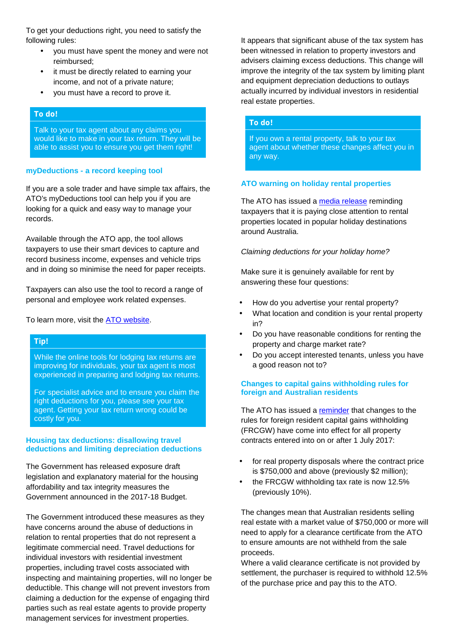To get your deductions right, you need to satisfy the following rules:

- you must have spent the money and were not reimbursed;
- it must be directly related to earning your income, and not of a private nature;
- you must have a record to prove it.

#### *To do!*

Talk to your tax agent about any claims you would like to make in your tax return. They will be able to assist you to ensure you get them right!

#### **myDeductions - a record keeping tool**

If you are a sole trader and have simple tax affairs, the ATO's myDeductions tool can help you if you are looking for a quick and easy way to manage your records.

Available through the ATO app, the tool allows taxpayers to use their smart devices to capture and record business income, expenses and vehicle trips and in doing so minimise the need for paper receipts.

Taxpayers can also use the tool to record a range of personal and employee work related expenses.

To learn more, visit the ATO website.

#### *Tip!*

While the online tools for lodging tax returns are improving for individuals, your tax agent is most experienced in preparing and lodging tax returns.

For specialist advice and to ensure you claim the right deductions for you, please see your tax agent. Getting your tax return wrong could be costly for you.

#### **Housing tax deductions: disallowing travel deductions and limiting depreciation deductions**

The Government has released exposure draft legislation and explanatory material for the housing affordability and tax integrity measures the Government announced in the 2017-18 Budget.

The Government introduced these measures as they have concerns around the abuse of deductions in relation to rental properties that do not represent a legitimate commercial need. Travel deductions for individual investors with residential investment properties, including travel costs associated with inspecting and maintaining properties, will no longer be deductible. This change will not prevent investors from claiming a deduction for the expense of engaging third parties such as real estate agents to provide property management services for investment properties.

It appears that significant abuse of the tax system has been witnessed in relation to property investors and advisers claiming excess deductions. This change will improve the integrity of the tax system by limiting plant and equipment depreciation deductions to outlays actually incurred by individual investors in residential real estate properties.

#### *To do!*

If you own a rental property, talk to your tax agent about whether these changes affect you in any way.

#### **ATO warning on holiday rental properties**

The ATO has issued a media release reminding taxpayers that it is paying close attention to rental properties located in popular holiday destinations around Australia.

*Claiming deductions for your holiday home?*

Make sure it is genuinely available for rent by answering these four questions:

- How do you advertise your rental property?
- What location and condition is your rental property in?
- Do you have reasonable conditions for renting the property and charge market rate?
- Do you accept interested tenants, unless you have a good reason not to?

#### **Changes to capital gains withholding rules for foreign and Australian residents**

The ATO has issued a reminder that changes to the rules for foreign resident capital gains withholding (FRCGW) have come into effect for all property contracts entered into on or after 1 July 2017:

- for real property disposals where the contract price is \$750,000 and above (previously \$2 million);
- the FRCGW withholding tax rate is now 12.5% (previously 10%).

The changes mean that Australian residents selling real estate with a market value of \$750,000 or more will need to apply for a clearance certificate from the ATO to ensure amounts are not withheld from the sale proceeds.

Where a valid clearance certificate is not provided by settlement, the purchaser is required to withhold 12.5% of the purchase price and pay this to the ATO.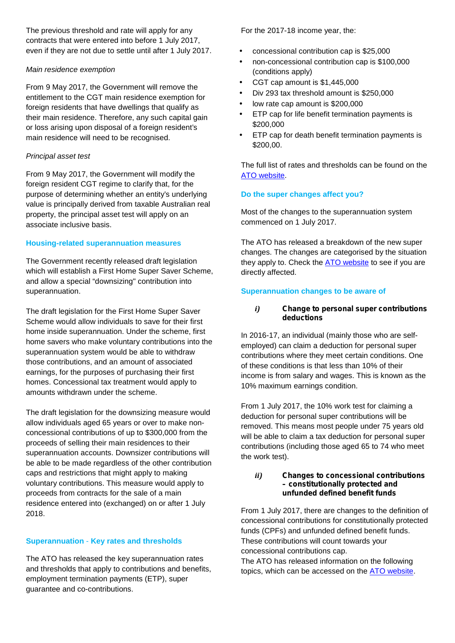The previous threshold and rate will apply for any contracts that were entered into before 1 July 2017, even if they are not due to settle until after 1 July 2017.

## *Main residence exemption*

From 9 May 2017, the Government will remove the entitlement to the CGT main residence exemption for foreign residents that have dwellings that qualify as their main residence. Therefore, any such capital gain or loss arising upon disposal of a foreign resident's main residence will need to be recognised.

## *Principal asset test*

From 9 May 2017, the Government will modify the foreign resident CGT regime to clarify that, for the purpose of determining whether an entity's underlying value is principally derived from taxable Australian real property, the principal asset test will apply on an associate inclusive basis.

## **Housing-related superannuation measures**

The Government recently released draft legislation which will establish a First Home Super Saver Scheme, and allow a special "downsizing" contribution into superannuation.

The draft legislation for the First Home Super Saver Scheme would allow individuals to save for their first home inside superannuation. Under the scheme, first home savers who make voluntary contributions into the superannuation system would be able to withdraw those contributions, and an amount of associated earnings, for the purposes of purchasing their first homes. Concessional tax treatment would apply to amounts withdrawn under the scheme.

The draft legislation for the downsizing measure would allow individuals aged 65 years or over to make non concessional contributions of up to \$300,000 from the proceeds of selling their main residences to their superannuation accounts. Downsizer contributions will be able to be made regardless of the other contribution caps and restrictions that might apply to making voluntary contributions. This measure would apply to proceeds from contracts for the sale of a main residence entered into (exchanged) on or after 1 July 2018.

## **Superannuation** - **Key rates and thresholds**

The ATO has released the key superannuation rates and thresholds that apply to contributions and benefits, employment termination payments (ETP), super guarantee and co-contributions.

For the 2017-18 income year, the:

- concessional contribution cap is \$25,000
- non-concessional contribution cap is \$100,000 (conditions apply)
- CGT cap amount is \$1,445,000
- Div 293 tax threshold amount is \$250,000
- low rate cap amount is \$200,000
- ETP cap for life benefit termination payments is \$200,000
- ETP cap for death benefit termination payments is \$200,00.

The full list of rates and thresholds can be found on the ATO website.

## **Do the super changes affect you?**

Most of the changes to the superannuation system commenced on 1 July 2017.

The ATO has released a breakdown of the new super changes. The changes are categorised by the situation they apply to. Check the **ATO website** to see if you are directly affected.

## **Superannuation changes to be aware of**

### *i) Change to personal super contributions deductions*

In 2016-17, an individual (mainly those who are self employed) can claim a deduction for personal super contributions where they meet certain conditions. One of these conditions is that less than 10% of their income is from salary and wages. This is known as the 10% maximum earnings condition.

From 1 July 2017, the 10% work test for claiming a deduction for personal super contributions will be removed. This means most people under 75 years old will be able to claim a tax deduction for personal super contributions (including those aged 65 to 74 who meet the work test).

#### *ii) Changes to concessional contributions – constitutionally protected and unfunded defined benefit funds*

From 1 July 2017, there are changes to the definition of concessional contributions for constitutionally protected funds (CPFs) and unfunded defined benefit funds. These contributions will count towards your concessional contributions cap.

The ATO has released information on the following topics, which can be accessed on the ATO website.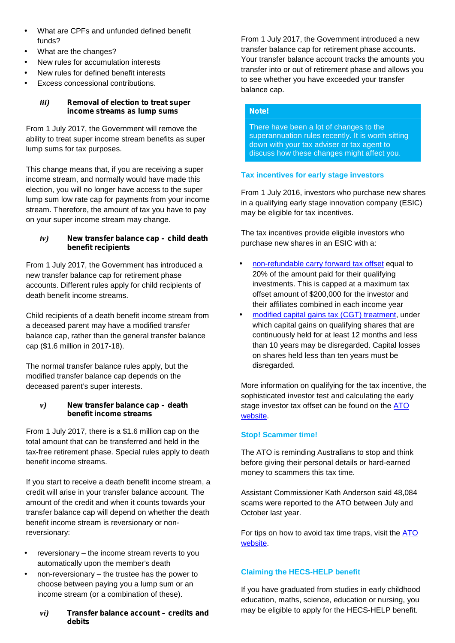- What are CPFs and unfunded defined benefit funds?
- What are the changes?
- New rules for accumulation interests
- New rules for defined benefit interests
- Excess concessional contributions.

## *iii) Removal of election to treat super income streams as lump sums*

From 1 July 2017, the Government will remove the ability to treat super income stream benefits as super lump sums for tax purposes.

This change means that, if you are receiving a super income stream, and normally would have made this election, you will no longer have access to the super lump sum low rate cap for payments from your income stream. Therefore, the amount of tax you have to pay on your super income stream may change.

## *iv) New transfer balance cap – child death benefit recipients*

From 1 July 2017, the Government has introduced a new transfer balance cap for retirement phase accounts. Different rules apply for child recipients of death benefit income streams.

Child recipients of a death benefit income stream from a deceased parent may have a modified transfer balance cap, rather than the general transfer balance cap (\$1.6 million in 2017-18).

The normal transfer balance rules apply, but the modified transfer balance cap depends on the deceased parent's super interests.

#### *v) New transfer balance cap – death benefit income streams*

From 1 July 2017, there is a \$1.6 million cap on the total amount that can be transferred and held in the tax-free retirement phase. Special rules apply to death benefit income streams.

If you start to receive a death benefit income stream, a credit will arise in your transfer balance account. The amount of the credit and when it counts towards your transfer balance cap will depend on whether the death benefit income stream is reversionary or nonreversionary:

- reversionary the income stream reverts to you automatically upon the member's death
- non-reversionary the trustee has the power to choose between paying you a lump sum or an income stream (or a combination of these).
	- *vi) Transfer balance account – credits and debits*

From 1 July 2017, the Government introduced a new transfer balance cap for retirement phase accounts. Your transfer balance account tracks the amounts you transfer into or out of retirement phase and allows you to see whether you have exceeded your transfer balance cap.

## *Note!*

There have been a lot of changes to the superannuation rules recently. It is worth sitting down with your tax adviser or tax agent to discuss how these changes might affect you.

## **Tax incentives for early stage investors**

From 1 July 2016, investors who purchase new shares in a qualifying early stage innovation company (ESIC) may be eligible for tax incentives.

The tax incentives provide eligible investors who purchase new shares in an ESIC with a:

- non-refundable carry forward tax offset equal to 20% of the amount paid for their qualifying investments. This is capped at a maximum tax offset amount of \$200,000 for the investor and their affiliates combined in each income year
- modified capital gains tax (CGT) treatment, under which capital gains on qualifying shares that are continuously held for at least 12 months and less than 10 years may be disregarded. Capital losses on shares held less than ten years must be disregarded.

More information on qualifying for the tax incentive, the sophisticated investor test and calculating the early stage investor tax offset can be found on the ATO website.

# **Stop! Scammer time!**

The ATO is reminding Australians to stop and think before giving their personal details or hard-earned money to scammers this tax time.

Assistant Commissioner Kath Anderson said 48,084 scams were reported to the ATO between July and October last year.

For tips on how to avoid tax time traps, visit the ATO website.

# **Claiming the HECS-HELP benefit**

If you have graduated from studies in early childhood education, maths, science, education or nursing, you may be eligible to apply for the HECS-HELP benefit.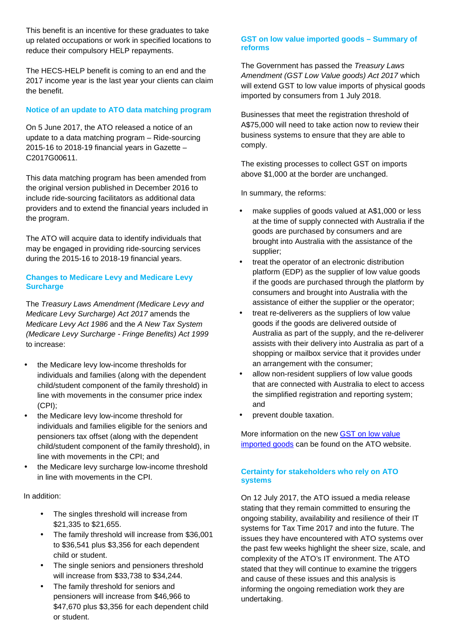This benefit is an incentive for these graduates to take up related occupations or work in specified locations to reduce their compulsory HELP repayments.

The HECS-HELP benefit is coming to an end and the 2017 income year is the last year your clients can claim the benefit.

## **Notice of an update to ATO data matching program**

On 5 June 2017, the ATO released a notice of an update to a data matching program – Ride-sourcing 2015-16 to 2018-19 financial years in Gazette – C2017G00611.

This data matching program has been amended from the original version published in December 2016 to include ride-sourcing facilitators as additional data providers and to extend the financial years included in the program.

The ATO will acquire data to identify individuals that may be engaged in providing ride-sourcing services during the 2015-16 to 2018-19 financial years.

## **Changes to Medicare Levy and Medicare Levy Surcharge**

The *Treasury Laws Amendment (Medicare Levy and Medicare Levy Surcharge) Act 2017* amends the *Medicare Levy Act 1986* and the *A New Tax System (Medicare Levy Surcharge - Fringe Benefits) Act 1999* to increase:

- the Medicare levy low-income thresholds for individuals and families (along with the dependent child/student component of the family threshold) in line with movements in the consumer price index (CPI);
- the Medicare levy low-income threshold for individuals and families eligible for the seniors and pensioners tax offset (along with the dependent child/student component of the family threshold), in line with movements in the CPI; and
- the Medicare levy surcharge low-income threshold in line with movements in the CPI.

In addition:

- The singles threshold will increase from \$21,335 to \$21,655.
- The family threshold will increase from \$36,001 to \$36,541 plus \$3,356 for each dependent child or student.
- The single seniors and pensioners threshold will increase from \$33,738 to \$34,244.
- The family threshold for seniors and pensioners will increase from \$46,966 to \$47,670 plus \$3,356 for each dependent child or student.

#### **GST on low value imported goods – Summary of reforms**

The Government has passed the *Treasury Laws Amendment (GST Low Value goods) Act 2017* which will extend GST to low value imports of physical goods imported by consumers from 1 July 2018.

Businesses that meet the registration threshold of A\$75,000 will need to take action now to review their business systems to ensure that they are able to comply.

The existing processes to collect GST on imports above \$1,000 at the border are unchanged.

In summary, the reforms:

- make supplies of goods valued at A\$1,000 or less at the time of supply connected with Australia if the goods are purchased by consumers and are brought into Australia with the assistance of the supplier;
- treat the operator of an electronic distribution platform (EDP) as the supplier of low value goods if the goods are purchased through the platform by consumers and brought into Australia with the assistance of either the supplier or the operator;
- treat re-deliverers as the suppliers of low value goods if the goods are delivered outside of Australia as part of the supply, and the re-deliverer assists with their delivery into Australia as part of a shopping or mailbox service that it provides under an arrangement with the consumer;
- allow non-resident suppliers of low value goods that are connected with Australia to elect to access the simplified registration and reporting system; and
- prevent double taxation.

More information on the new GST on low value imported goods can be found on the ATO website.

## **Certainty for stakeholders who rely on ATO systems**

On 12 July 2017, the ATO issued a media release stating that they remain committed to ensuring the ongoing stability, availability and resilience of their IT systems for Tax Time 2017 and into the future. The issues they have encountered with ATO systems over the past few weeks highlight the sheer size, scale, and complexity of the ATO's IT environment. The ATO stated that they will continue to examine the triggers and cause of these issues and this analysis is informing the ongoing remediation work they are undertaking.